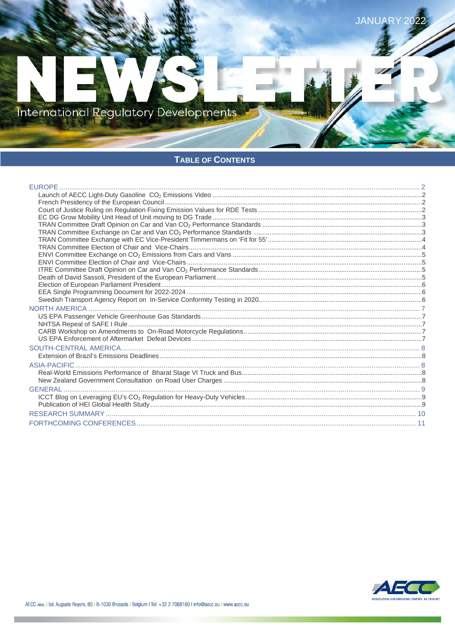

## TABLE OF CONTENTS

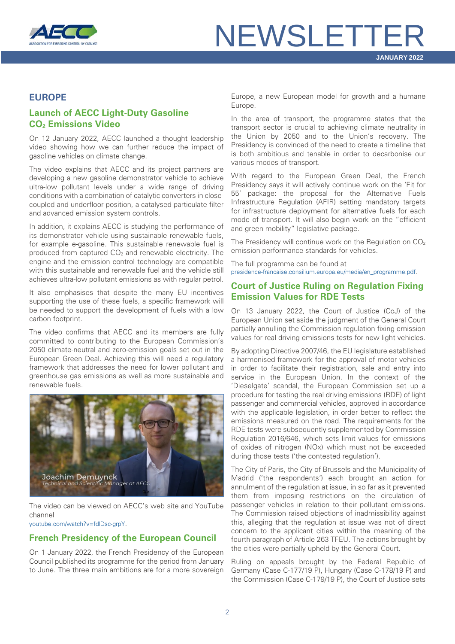

#### <span id="page-1-0"></span>**EUROPE**

## <span id="page-1-1"></span>**Launch of AECC Light-Duty Gasoline CO2 Emissions Video**

On 12 January 2022, AECC launched a thought leadership video showing how we can further reduce the impact of gasoline vehicles on climate change.

The video explains that AECC and its project partners are developing a new gasoline demonstrator vehicle to achieve ultra-low pollutant levels under a wide range of driving conditions with a combination of catalytic converters in closecoupled and underfloor position, a catalysed particulate filter and advanced emission system controls.

In addition, it explains AECC is studying the performance of its demonstrator vehicle using sustainable renewable fuels, for example e-gasoline. This sustainable renewable fuel is produced from captured  $CO<sub>2</sub>$  and renewable electricity. The engine and the emission control technology are compatible with this sustainable and renewable fuel and the vehicle still achieves ultra-low pollutant emissions as with regular petrol.

It also emphasises that despite the many EU incentives supporting the use of these fuels, a specific framework will be needed to support the development of fuels with a low carbon footprint.

The video confirms that AECC and its members are fully committed to contributing to the European Commission's 2050 climate-neutral and zero-emission goals set out in the European Green Deal. Achieving this will need a regulatory framework that addresses the need for lower pollutant and greenhouse gas emissions as well as more sustainable and renewable fuels.



The video can be viewed on AECC's web site and YouTube channel

[youtube.com/watch?v=fdlDsc-grpY.](https://www.youtube.com/watch?v=fdlDsc-grpY)

### <span id="page-1-2"></span>**French Presidency of the European Council**

On 1 January 2022, the French Presidency of the European Council published its programme for the period from January to June. The three main ambitions are for a more sovereign Europe, a new European model for growth and a humane Europe.

In the area of transport, the programme states that the transport sector is crucial to achieving climate neutrality in the Union by 2050 and to the Union's recovery. The Presidency is convinced of the need to create a timeline that is both ambitious and tenable in order to decarbonise our various modes of transport.

With regard to the European Green Deal, the French Presidency says it will actively continue work on the 'Fit for 55' package: the proposal for the Alternative Fuels Infrastructure Regulation (AFIR) setting mandatory targets for infrastructure deployment for alternative fuels for each mode of transport. It will also begin work on the "efficient and green mobility" legislative package.

The Presidency will continue work on the Regulation on  $CO<sub>2</sub>$ emission performance standards for vehicles.

The full programme can be found at [presidence-francaise.consilium.europa.eu/media/en\\_programme.pdf.](https://presidence-francaise.consilium.europa.eu/media/qh4cg0qq/en_programme-pfue-v1-2.pdf)

### <span id="page-1-3"></span>**Court of Justice Ruling on Regulation Fixing Emission Values for RDE Tests**

On 13 January 2022, the Court of Justice (CoJ) of the European Union set aside the judgment of the General Court partially annulling the Commission regulation fixing emission values for real driving emissions tests for new light vehicles.

By adopting Directive 2007/46, the EU legislature established a harmonised framework for the approval of motor vehicles in order to facilitate their registration, sale and entry into service in the European Union. In the context of the 'Dieselgate' scandal, the European Commission set up a procedure for testing the real driving emissions (RDE) of light passenger and commercial vehicles, approved in accordance with the applicable legislation, in order better to reflect the emissions measured on the road. The requirements for the RDE tests were subsequently supplemented by Commission Regulation 2016/646, which sets limit values for emissions of oxides of nitrogen (NOx) which must not be exceeded during those tests ('the contested regulation').

The City of Paris, the City of Brussels and the Municipality of Madrid ('the respondents') each brought an action for annulment of the regulation at issue, in so far as it prevented them from imposing restrictions on the circulation of passenger vehicles in relation to their pollutant emissions. The Commission raised objections of inadmissibility against this, alleging that the regulation at issue was not of direct concern to the applicant cities within the meaning of the fourth paragraph of Article 263 TFEU. The actions brought by the cities were partially upheld by the General Court.

Ruling on appeals brought by the Federal Republic of Germany (Case C-177/19 P), Hungary (Case C-178/19 P) and the Commission (Case C-179/19 P), the Court of Justice sets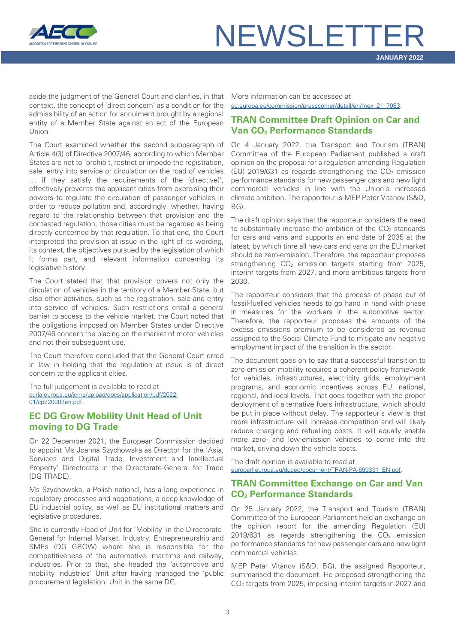

aside the judgment of the General Court and clarifies, in that context, the concept of 'direct concern' as a condition for the admissibility of an action for annulment brought by a regional entity of a Member State against an act of the European Union.

The Court examined whether the second subparagraph of Article 4(3) of Directive 2007/46, according to which Member States are not to 'prohibit, restrict or impede the registration, sale, entry into service or circulation on the road of vehicles … if they satisfy the requirements of the [directive]', effectively prevents the applicant cities from exercising their powers to regulate the circulation of passenger vehicles in order to reduce pollution and, accordingly, whether, having regard to the relationship between that provision and the contested regulation, those cities must be regarded as being directly concerned by that regulation. To that end, the Court interpreted the provision at issue in the light of its wording, its context, the objectives pursued by the legislation of which it forms part, and relevant information concerning its legislative history.

The Court stated that that provision covers not only the circulation of vehicles in the territory of a Member State, but also other activities, such as the registration, sale and entry into service of vehicles. Such restrictions entail a general barrier to access to the vehicle market. the Court noted that the obligations imposed on Member States under Directive 2007/46 concern the placing on the market of motor vehicles and not their subsequent use.

The Court therefore concluded that the General Court erred in law in holding that the regulation at issue is of direct concern to the applicant cities.

The full judgement is available to read at [curia.europa.eu/jcms/upload/docs/application/pdf/2022-](https://curia.europa.eu/jcms/upload/docs/application/pdf/2022-01/cp220002en.pdf) [01/cp220002en.pdf.](https://curia.europa.eu/jcms/upload/docs/application/pdf/2022-01/cp220002en.pdf)

### <span id="page-2-0"></span>**EC DG Grow Mobility Unit Head of Unit moving to DG Trade**

On 22 December 2021, the European Commission decided to appoint Ms Joanna Szychowska as Director for the 'Asia, Services and Digital Trade, Investment and Intellectual Property' Directorate in the Directorate-General for Trade (DG TRADE).

Ms Szychowska, a Polish national, has a long experience in regulatory processes and negotiations, a deep knowledge of EU industrial policy, as well as EU institutional matters and legislative procedures.

She is currently Head of Unit for `Mobility´ in the Directorate-General for Internal Market, Industry, Entrepreneurship and SMEs (DG GROW) where she is responsible for the competitiveness of the automotive, maritime and railway, industries. Prior to that, she headed the 'automotive and mobility industries' Unit after having managed the 'public procurement legislation' Unit in the same DG.

More information can be accessed at [ec.europa.eu/commission/presscorner/detail/en/mex\\_21\\_7083.](https://ec.europa.eu/commission/presscorner/detail/en/mex_21_7083)

## <span id="page-2-1"></span>**TRAN Committee Draft Opinion on Car and Van CO2 Performance Standards**

On 4 January 2022, the Transport and Tourism (TRAN) Committee of the European Parliament published a draft opinion on the proposal for a regulation amending Regulation (EU) 2019/631 as regards strengthening the  $CO<sub>2</sub>$  emission performance standards for new passenger cars and new light commercial vehicles in line with the Union's increased climate ambition. The rapporteur is MEP Peter Vitanov (S&D, BG).

The draft opinion says that the rapporteur considers the need to substantially increase the ambition of the  $CO<sub>2</sub>$  standards for cars and vans and supports an end date of 2035 at the latest, by which time all new cars and vans on the EU market should be zero-emission. Therefore, the rapporteur proposes strengthening CO<sub>2</sub> emission targets starting from 2025, interim targets from 2027, and more ambitious targets from 2030.

The rapporteur considers that the process of phase out of fossil-fuelled vehicles needs to go hand in hand with phase in measures for the workers in the automotive sector. Therefore, the rapporteur proposes the amounts of the excess emissions premium to be considered as revenue assigned to the Social Climate Fund to mitigate any negative employment impact of the transition in the sector.

The document goes on to say that a successful transition to zero emission mobility requires a coherent policy framework for vehicles, infrastructures, electricity grids, employment programs, and economic incentives across EU, national, regional, and local levels. That goes together with the proper deployment of alternative fuels infrastructure, which should be put in place without delay. The rapporteur's view is that more infrastructure will increase competition and will likely reduce charging and refuelling costs. It will equally enable more zero- and low-emission vehicles to come into the market, driving down the vehicle costs.

The draft opinion is available to read at [europarl.europa.eu/doceo/document/TRAN-PA-699331\\_EN.pdf.](https://www.europarl.europa.eu/doceo/document/TRAN-PA-699331_EN.pdf)

## <span id="page-2-2"></span>**TRAN Committee Exchange on Car and Van CO2 Performance Standards**

On 25 January 2022, the Transport and Tourism (TRAN) Committee of the European Parliament held an exchange on the opinion report for the amending Regulation (EU) 2019/631 as regards strengthening the  $CO<sub>2</sub>$  emission performance standards for new passenger cars and new light commercial vehicles.

MEP Petar Vitanov (S&D, BG), the assigned Rapporteur, summarised the document. He proposed strengthening the CO2 targets from 2025, imposing interim targets in 2027 and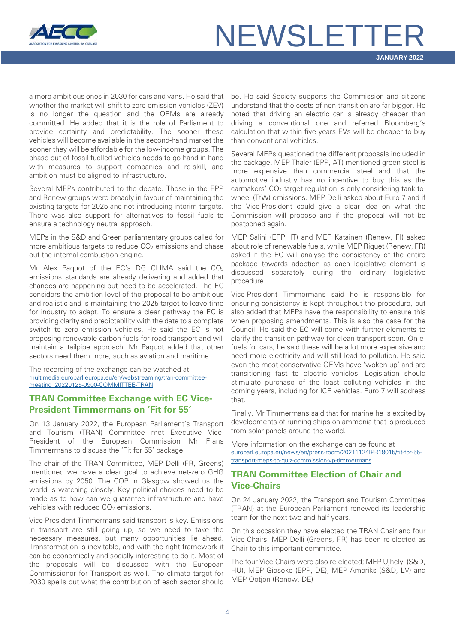

a more ambitious ones in 2030 for cars and vans. He said that whether the market will shift to zero emission vehicles (ZEV) is no longer the question and the OEMs are already committed. He added that it is the role of Parliament to provide certainty and predictability. The sooner these vehicles will become available in the second-hand market the sooner they will be affordable for the low-income groups. The phase out of fossil-fuelled vehicles needs to go hand in hand with measures to support companies and re-skill, and ambition must be aligned to infrastructure.

Several MEPs contributed to the debate. Those in the EPP and Renew groups were broadly in favour of maintaining the existing targets for 2025 and not introducing interim targets. There was also support for alternatives to fossil fuels to ensure a technology neutral approach.

MEPs in the S&D and Green parliamentary groups called for more ambitious targets to reduce  $CO<sub>2</sub>$  emissions and phase out the internal combustion engine.

Mr Alex Paquot of the EC's DG CLIMA said the  $CO<sub>2</sub>$ emissions standards are already delivering and added that changes are happening but need to be accelerated. The EC considers the ambition level of the proposal to be ambitious and realistic and is maintaining the 2025 target to leave time for industry to adapt. To ensure a clear pathway the EC is providing clarity and predictability with the date to a complete switch to zero emission vehicles. He said the EC is not proposing renewable carbon fuels for road transport and will maintain a tailpipe approach. Mr Paquot added that other sectors need them more, such as aviation and maritime.

The recording of the exchange can be watched at [multimedia.europarl.europa.eu/en/webstreaming/tran-committee](https://multimedia.europarl.europa.eu/en/webstreaming/tran-committee-meeting_20220125-0900-COMMITTEE-TRAN)[meeting\\_20220125-0900-COMMITTEE-TRAN](https://multimedia.europarl.europa.eu/en/webstreaming/tran-committee-meeting_20220125-0900-COMMITTEE-TRAN)

#### <span id="page-3-0"></span>**TRAN Committee Exchange with EC Vice-President Timmermans on 'Fit for 55'**

On 13 January 2022, the European Parliament's Transport and Tourism (TRAN) Committee met Executive Vice-President of the European Commission Mr Frans Timmermans to discuss the 'Fit for 55' package.

The chair of the TRAN Committee, MEP Delli (FR, Greens) mentioned we have a clear goal to achieve net-zero GHG emissions by 2050. The COP in Glasgow showed us the world is watching closely. Key political choices need to be made as to how can we guarantee infrastructure and have vehicles with reduced  $CO<sub>2</sub>$  emissions.

Vice-President Timmermans said transport is key. Emissions in transport are still going up, so we need to take the necessary measures, but many opportunities lie ahead. Transformation is inevitable, and with the right framework it can be economically and socially interesting to do it. Most of the proposals will be discussed with the European Commissioner for Transport as well. The climate target for 2030 spells out what the contribution of each sector should

be. He said Society supports the Commission and citizens understand that the costs of non-transition are far bigger. He noted that driving an electric car is already cheaper than driving a conventional one and referred Bloomberg's calculation that within five years EVs will be cheaper to buy than conventional vehicles.

Several MEPs questioned the different proposals included in the package. MEP Thaler (EPP, AT) mentioned green steel is more expensive than commercial steel and that the automotive industry has no incentive to buy this as the carmakers' CO<sub>2</sub> target regulation is only considering tank-towheel (TtW) emissions. MEP Delli asked about Euro 7 and if the Vice-President could give a clear idea on what the Commission will propose and if the proposal will not be postponed again.

MEP Salini (EPP, IT) and MEP Katainen (Renew, FI) asked about role of renewable fuels, while MEP Riquet (Renew, FR) asked if the EC will analyse the consistency of the entire package towards adoption as each legislative element is discussed separately during the ordinary legislative procedure.

Vice-President Timmermans said he is responsible for ensuring consistency is kept throughout the procedure, but also added that MEPs have the responsibility to ensure this when proposing amendments. This is also the case for the Council. He said the EC will come with further elements to clarify the transition pathway for clean transport soon. On efuels for cars, he said these will be a lot more expensive and need more electricity and will still lead to pollution. He said even the most conservative OEMs have 'woken up' and are transitioning fast to electric vehicles. Legislation should stimulate purchase of the least polluting vehicles in the coming years, including for ICE vehicles. Euro 7 will address that.

Finally, Mr Timmermans said that for marine he is excited by developments of running ships on ammonia that is produced from solar panels around the world.

More information on the exchange can be found at [europarl.europa.eu/news/en/press-room/20211124IPR18015/fit-for-55](https://www.europarl.europa.eu/news/en/press-room/20211124IPR18015/fit-for-55-transport-meps-to-quiz-commission-vp-timmermans) [transport-meps-to-quiz-commission-vp-timmermans.](https://www.europarl.europa.eu/news/en/press-room/20211124IPR18015/fit-for-55-transport-meps-to-quiz-commission-vp-timmermans)

## <span id="page-3-1"></span>**TRAN Committee Election of Chair and Vice-Chairs**

On 24 January 2022, the Transport and Tourism Committee (TRAN) at the European Parliament renewed its leadership team for the next two and half years.

On this occasion they have elected the TRAN Chair and four Vice-Chairs. MEP Delli (Greens, FR) has been re-elected as Chair to this important committee.

The four Vice-Chairs were also re-elected; MEP Ujhelyi (S&D, HU), MEP Gieseke (EPP, DE), MEP Ameriks (S&D, LV) and MEP Oetjen (Renew, DE)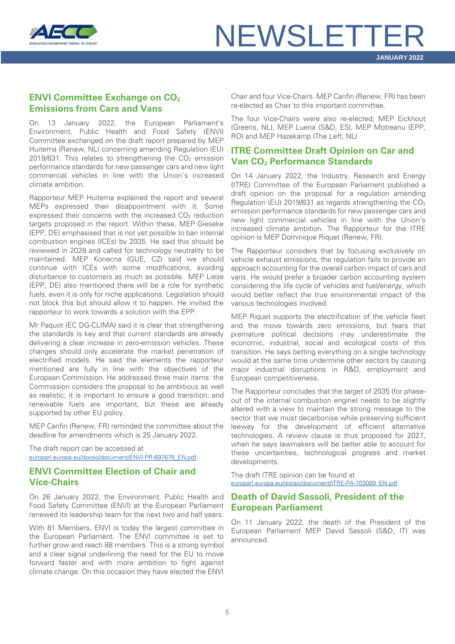

## <span id="page-4-0"></span>**ENVI Committee Exchange on CO<sub>2</sub> Emissions from Cars and Vans**

On 13 January 2022, the European Parliament's Environment, Public Health and Food Safety (ENVI) Committee exchanged on the draft report prepared by MEP Huitema (Renew, NL) concerning amending Regulation (EU) 2019/631. This relates to strengthening the  $CO<sub>2</sub>$  emission performance standards for new passenger cars and new light commercial vehicles in line with the Union's increased climate ambition.

Rapporteur MEP Huitema explained the report and several MEPs expressed their disappointment with it. Some expressed their concerns with the increased CO<sub>2</sub> reduction targets proposed in the report. Within these, MEP Gieseke (EPP, DE) emphasised that is not yet possible to ban internal combustion engines (ICEs) by 2035. He said this should be reviewed in 2028 and called for technology neutrality to be maintained. MEP Konecna (GUE, CZ) said we should continue with ICEs with some modifications, avoiding disturbance to customers as much as possible. MEP Liese (EPP, DE) also mentioned there will be a role for synthetic fuels, even it is only for niche applications. Legislation should not block this but should allow it to happen. He invited the rapporteur to work towards a solution with the EPP.

Mr Paquot (EC DG-CLIMA) said it is clear that strengthening the standards is key and that current standards are already delivering a clear increase in zero-emission vehicles. These changes should only accelerate the market penetration of electrified models. He said the elements the rapporteur mentioned are fully in line with the objectives of the European Commission. He addressed three main items: the Commission considers the proposal to be ambitious as well as realistic; it is important to ensure a good transition; and renewable fuels are important, but these are already supported by other EU policy.

MEP Canfin (Renew, FR) reminded the committee about the deadline for amendments which is 25 January 2022.

The draft report can be accessed at [europarl.europa.eu/doceo/document/ENVI-PR-697678\\_EN.pdf.](https://www.europarl.europa.eu/doceo/document/ENVI-PR-697678_EN.pdf)

### <span id="page-4-1"></span>**ENVI Committee Election of Chair and Vice-Chairs**

On 26 January 2022, the Environment, Public Health and Food Safety Committee (ENVI) at the European Parliament renewed its leadership team for the next two and half years.

With 81 Members, ENVI is today the largest committee in the European Parliament. The ENVI committee is set to further grow and reach 88 members. This is a strong symbol and a clear signal underlining the need for the EU to move forward faster and with more ambition to fight against climate change. On this occasion they have elected the ENVI Chair and four Vice-Chairs. MEP Canfin (Renew, FR) has been re-elected as Chair to this important committee.

The four Vice-Chairs were also re-elected; MEP Eickhout (Greens, NL), MEP Luena (S&D, ES), MEP Motreanu (EPP, RO) and MEP Hazekamp (The Left, NL)

## <span id="page-4-2"></span>**ITRE Committee Draft Opinion on Car and Van CO2 Performance Standards**

On 14 January 2022, the Industry, Research and Energy (ITRE) Committee of the European Parliament published a draft opinion on the proposal for a regulation amending Regulation (EU) 2019/631 as regards strengthening the  $CO<sub>2</sub>$ emission performance standards for new passenger cars and new light commercial vehicles in line with the Union's increased climate ambition. The Rapporteur for the ITRE opinion is MEP Dominique Riquet (Renew, FR).

The Rapporteur considers that by focusing exclusively on vehicle exhaust emissions, the regulation fails to provide an approach accounting for the overall carbon impact of cars and vans. He would prefer a broader carbon accounting system considering the life cycle of vehicles and fuel/energy, which would better reflect the true environmental impact of the various technologies involved.

MEP Riquet supports the electrification of the vehicle fleet and the move towards zero emissions, but fears that premature political decisions may underestimate the economic, industrial, social and ecological costs of this transition. He says betting everything on a single technology would at the same time undermine other sectors by causing major industrial disruptions in R&D, employment and European competitiveness.

The Rapporteur concludes that the target of 2035 (for phaseout of the internal combustion engine) needs to be slightly altered with a view to maintain the strong message to the sector that we must decarbonise while preserving sufficient leeway for the development of efficient alternative technologies. A review clause is thus proposed for 2027, when he says lawmakers will be better able to account for these uncertainties, technological progress and market developments.

The draft ITRE opinion can be found at [europarl.europa.eu/doceo/document/ITRE-PA-703089\\_EN.pdf.](https://www.europarl.europa.eu/doceo/document/ITRE-PA-703089_EN.pdf)

### <span id="page-4-3"></span>**Death of David Sassoli, President of the European Parliament**

On 11 January 2022, the death of the President of the European Parliament MEP David Sassoli (S&D, IT) was announced.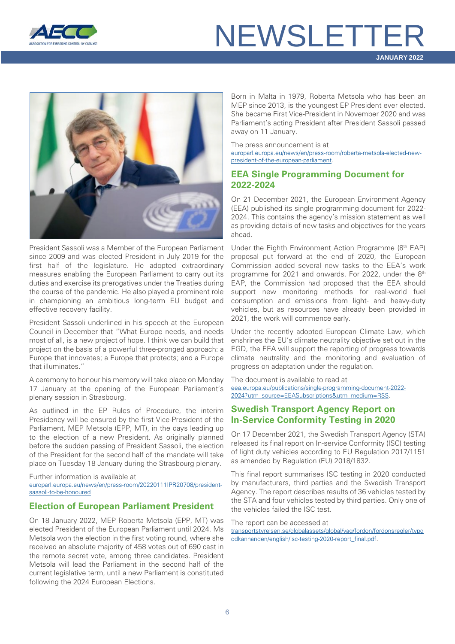



President Sassoli was a Member of the European Parliament since 2009 and was elected President in July 2019 for the first half of the legislature. He adopted extraordinary measures enabling the European Parliament to carry out its duties and exercise its prerogatives under the Treaties during the course of the pandemic. He also played a prominent role in championing an ambitious long-term EU budget and effective recovery facility.

President Sassoli underlined in his speech at the European Council in December that "What Europe needs, and needs most of all, is a new project of hope. I think we can build that project on the basis of a powerful three-pronged approach: a Europe that innovates; a Europe that protects; and a Europe that illuminates."

A ceremony to honour his memory will take place on Monday 17 January at the opening of the European Parliament's plenary session in Strasbourg.

As outlined in the EP Rules of Procedure, the interim Presidency will be ensured by the first Vice-President of the Parliament, MEP Metsola (EPP, MT), in the days leading up to the election of a new President. As originally planned before the sudden passing of President Sassoli, the election of the President for the second half of the mandate will take place on Tuesday 18 January during the Strasbourg plenary.

Further information is available at [europarl.europa.eu/news/en/press-room/20220111IPR20708/president](https://www.europarl.europa.eu/news/en/press-room/20220111IPR20708/president-sassoli-to-be-honoured-in-plenary)[sassoli-to-be-honoured](https://www.europarl.europa.eu/news/en/press-room/20220111IPR20708/president-sassoli-to-be-honoured-in-plenary)

## <span id="page-5-0"></span>**Election of European Parliament President**

On 18 January 2022, MEP Roberta Metsola (EPP, MT) was elected President of the European Parliament until 2024. Ms Metsola won the election in the first voting round, where she received an absolute majority of 458 votes out of 690 cast in the remote secret vote, among three candidates. President Metsola will lead the Parliament in the second half of the current legislative term, until a new Parliament is constituted following the 2024 European Elections.

Born in Malta in 1979, Roberta Metsola who has been an MEP since 2013, is the youngest EP President ever elected. She became First Vice-President in November 2020 and was Parliament's acting President after President Sassoli passed away on 11 January.

The press announcement is at

[europarl.europa.eu/news/en/press-room/roberta-metsola-elected-new](https://www.europarl.europa.eu/news/en/press-room/20220114IPR21012/roberta-metsola-elected-new-president-of-the-european-parliament)[president-of-the-european-parliament.](https://www.europarl.europa.eu/news/en/press-room/20220114IPR21012/roberta-metsola-elected-new-president-of-the-european-parliament)

### <span id="page-5-1"></span>**EEA Single Programming Document for 2022-2024**

On 21 December 2021, the European Environment Agency (EEA) published its single programming document for 2022- 2024. This contains the agency's mission statement as well as providing details of new tasks and objectives for the years ahead.

Under the Eighth Environment Action Programme (8<sup>th</sup> EAP) proposal put forward at the end of 2020, the European Commission added several new tasks to the EEA's work programme for 2021 and onwards. For 2022, under the 8<sup>th</sup> EAP, the Commission had proposed that the EEA should support new monitoring methods for real-world fuel consumption and emissions from light- and heavy-duty vehicles, but as resources have already been provided in 2021, the work will commence early.

Under the recently adopted European Climate Law, which enshrines the EU's climate neutrality objective set out in the EGD, the EEA will support the reporting of progress towards climate neutrality and the monitoring and evaluation of progress on adaptation under the regulation.

The document is available to read at [eea.europa.eu/publications/single-programming-document-2022-](https://www.eea.europa.eu/publications/single-programming-document-2022-2024?utm_source=EEASubscriptions&utm_medium=RSSFeeds&utm_campaign=Generic) [2024?utm\\_source=EEASubscriptions&utm\\_medium=RSS.](https://www.eea.europa.eu/publications/single-programming-document-2022-2024?utm_source=EEASubscriptions&utm_medium=RSSFeeds&utm_campaign=Generic)

## <span id="page-5-2"></span>**Swedish Transport Agency Report on In-Service Conformity Testing in 2020**

On 17 December 2021, the Swedish Transport Agency (STA) released its final report on In-service Conformity (ISC) testing of light duty vehicles according to EU Regulation 2017/1151 as amended by Regulation (EU) 2018/1832.

This final report summarises ISC testing in 2020 conducted by manufacturers, third parties and the Swedish Transport Agency. The report describes results of 36 vehicles tested by the STA and four vehicles tested by third parties. Only one of the vehicles failed the ISC test.

The report can be accessed at

[transportstyrelsen.se/globalassets/global/vag/fordon/fordonsregler/typg](https://transportstyrelsen.se/globalassets/global/vag/fordon/fordonsregler/typgodkannanden/english/isc-testing-2020-report_final.pdf) [odkannanden/english/isc-testing-2020-report\\_final.pdf.](https://transportstyrelsen.se/globalassets/global/vag/fordon/fordonsregler/typgodkannanden/english/isc-testing-2020-report_final.pdf)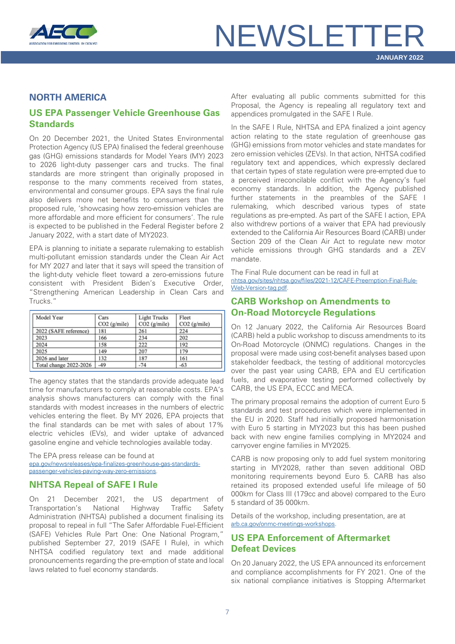

### <span id="page-6-0"></span>**NORTH AMERICA**

## <span id="page-6-1"></span>**US EPA Passenger Vehicle Greenhouse Gas Standards**

On 20 December 2021, the United States Environmental Protection Agency (US EPA) finalised the federal greenhouse gas (GHG) emissions standards for Model Years (MY) 2023 to 2026 light-duty passenger cars and trucks. The final standards are more stringent than originally proposed in response to the many comments received from states, environmental and consumer groups. EPA says the final rule also delivers more net benefits to consumers than the proposed rule, 'showcasing how zero-emission vehicles are more affordable and more efficient for consumers'. The rule is expected to be published in the Federal Register before 2 January 2022, with a start date of MY2023.

EPA is planning to initiate a separate rulemaking to establish multi-pollutant emission standards under the Clean Air Act for MY 2027 and later that it says will speed the transition of the light-duty vehicle fleet toward a zero-emissions future consistent with President Biden's Executive Order, "Strengthening American Leadership in Clean Cars and Trucks."

| Model Year             | Cars<br>$CO2$ (g/mile) | <b>Light Trucks</b><br>$CO2$ (g/mile) | Fleet<br>$CO2$ (g/mile) |
|------------------------|------------------------|---------------------------------------|-------------------------|
| 2022 (SAFE reference)  | 181                    | 261                                   | 224                     |
| 2023                   | 166                    | 234                                   | 202                     |
| 2024                   | 158                    | 222                                   | 192                     |
| 2025                   | 149                    | 207                                   | 179                     |
| 2026 and later         | 132                    | 187                                   | 161                     |
| Total change 2022-2026 | $-49$                  | $-74$                                 | $-63$                   |

The agency states that the standards provide adequate lead time for manufacturers to comply at reasonable costs. EPA's analysis shows manufacturers can comply with the final standards with modest increases in the numbers of electric vehicles entering the fleet. By MY 2026, EPA projects that the final standards can be met with sales of about 17% electric vehicles (EVs), and wider uptake of advanced gasoline engine and vehicle technologies available today.

The EPA press release can be found at [epa.gov/newsreleases/epa-finalizes-greenhouse-gas-standards](https://www.epa.gov/newsreleases/epa-finalizes-greenhouse-gas-standards-passenger-vehicles-paving-way-zero-emissions)[passenger-vehicles-paving-way-zero-emissions.](https://www.epa.gov/newsreleases/epa-finalizes-greenhouse-gas-standards-passenger-vehicles-paving-way-zero-emissions)

## <span id="page-6-2"></span>**NHTSA Repeal of SAFE I Rule**

On 21 December 2021, the US department of Transportation's National Highway Traffic Safety Administration (NHTSA) published a document finalising its proposal to repeal in full "The Safer Affordable Fuel-Efficient (SAFE) Vehicles Rule Part One: One National Program," published September 27, 2019 (SAFE I Rule), in which NHTSA codified regulatory text and made additional pronouncements regarding the pre-emption of state and local laws related to fuel economy standards.

After evaluating all public comments submitted for this Proposal, the Agency is repealing all regulatory text and appendices promulgated in the SAFE I Rule.

In the SAFE I Rule, NHTSA and EPA finalized a joint agency action relating to the state regulation of greenhouse gas (GHG) emissions from motor vehicles and state mandates for zero emission vehicles (ZEVs). In that action, NHTSA codified regulatory text and appendices, which expressly declared that certain types of state regulation were pre-empted due to a perceived irreconcilable conflict with the Agency's fuel economy standards. In addition, the Agency published further statements in the preambles of the SAFE I rulemaking, which described various types of state regulations as pre-empted. As part of the SAFE I action, EPA also withdrew portions of a waiver that EPA had previously extended to the California Air Resources Board (CARB) under Section 209 of the Clean Air Act to regulate new motor vehicle emissions through GHG standards and a ZEV mandate.

The Final Rule document can be read in full at [nhtsa.gov/sites/nhtsa.gov/files/2021-12/CAFE-Preemption-Final-Rule-](https://www.nhtsa.gov/sites/nhtsa.gov/files/2021-12/CAFE-Preemption-Final-Rule-Web-Version-tag.pdf)[Web-Version-tag.pdf.](https://www.nhtsa.gov/sites/nhtsa.gov/files/2021-12/CAFE-Preemption-Final-Rule-Web-Version-tag.pdf)

### <span id="page-6-3"></span>**CARB Workshop on Amendments to On-Road Motorcycle Regulations**

On 12 January 2022, the California Air Resources Board (CARB) held a public workshop to discuss amendments to its On-Road Motorcycle (ONMC) regulations. Changes in the proposal were made using cost-benefit analyses based upon stakeholder feedback, the testing of additional motorcycles over the past year using CARB, EPA and EU certification fuels, and evaporative testing performed collectively by CARB, the US EPA, ECCC and MECA.

The primary proposal remains the adoption of current Euro 5 standards and test procedures which were implemented in the EU in 2020. Staff had initially proposed harmonisation with Euro 5 starting in MY2023 but this has been pushed back with new engine families complying in MY2024 and carryover engine families in MY2025.

CARB is now proposing only to add fuel system monitoring starting in MY2028, rather than seven additional OBD monitoring requirements beyond Euro 5. CARB has also retained its proposed extended useful life mileage of 50 000km for Class III (179cc and above) compared to the Euro 5 standard of 35 000km.

Details of the workshop, including presentation, are at [arb.ca.gov/onmc-meetings-workshops.](https://ww2.arb.ca.gov/onmc-meetings-workshops)

## <span id="page-6-4"></span>**US EPA Enforcement of Aftermarket Defeat Devices**

On 20 January 2022, the US EPA announced its enforcement and compliance accomplishments for FY 2021. One of the six national compliance initiatives is Stopping Aftermarket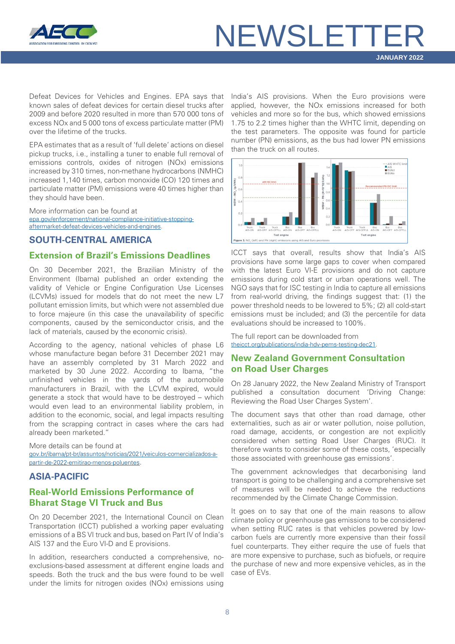

Defeat Devices for Vehicles and Engines. EPA says that known sales of defeat devices for certain diesel trucks after 2009 and before 2020 resulted in more than 570 000 tons of excess NOx and 5 000 tons of excess particulate matter (PM) over the lifetime of the trucks.

EPA estimates that as a result of 'full delete' actions on diesel pickup trucks, i.e., installing a tuner to enable full removal of emissions controls, oxides of nitrogen (NOx) emissions increased by 310 times, non-methane hydrocarbons (NMHC) increased 1,140 times, carbon monoxide (CO) 120 times and particulate matter (PM) emissions were 40 times higher than they should have been.

More information can be found at [epa.gov/enforcement/national-compliance-initiative-stopping](https://www.epa.gov/enforcement/national-compliance-initiative-stopping-aftermarket-defeat-devices-vehicles-and-engines)[aftermarket-defeat-devices-vehicles-and-engines.](https://www.epa.gov/enforcement/national-compliance-initiative-stopping-aftermarket-defeat-devices-vehicles-and-engines)

#### <span id="page-7-0"></span>**SOUTH-CENTRAL AMERICA**

#### <span id="page-7-1"></span>**Extension of Brazil's Emissions Deadlines**

On 30 December 2021, the Brazilian Ministry of the Environment (Ibama) published an order extending the validity of Vehicle or Engine Configuration Use Licenses (LCVMs) issued for models that do not meet the new L7 pollutant emission limits, but which were not assembled due to force majeure (in this case the unavailability of specific components, caused by the semiconductor crisis, and the lack of materials, caused by the economic crisis).

According to the agency, national vehicles of phase L6 whose manufacture began before 31 December 2021 may have an assembly completed by 31 March 2022 and marketed by 30 June 2022. According to Ibama, "the unfinished vehicles in the yards of the automobile manufacturers in Brazil, with the LCVM expired, would generate a stock that would have to be destroyed – which would even lead to an environmental liability problem, in addition to the economic, social, and legal impacts resulting from the scrapping contract in cases where the cars had already been marketed."

More details can be found at [gov.br/ibama/pt-br/assuntos/noticias/2021/veiculos-comercializados-a](https://www.gov.br/ibama/pt-br/assuntos/noticias/2021/veiculos-comercializados-a-partir-de-2022-emitirao-menos-poluentes)[partir-de-2022-emitirao-menos-poluentes.](https://www.gov.br/ibama/pt-br/assuntos/noticias/2021/veiculos-comercializados-a-partir-de-2022-emitirao-menos-poluentes)

### <span id="page-7-2"></span>**ASIA-PACIFIC**

## <span id="page-7-3"></span>**Real-World Emissions Performance of Bharat Stage VI Truck and Bus**

On 20 December 2021, the International Council on Clean Transportation (ICCT) published a working paper evaluating emissions of a BS VI truck and bus, based on Part IV of India's AIS 137 and the Euro VI-D and E provisions.

In addition, researchers conducted a comprehensive, noexclusions-based assessment at different engine loads and speeds. Both the truck and the bus were found to be well under the limits for nitrogen oxides (NOx) emissions using

India's AIS provisions. When the Euro provisions were applied, however, the NOx emissions increased for both vehicles and more so for the bus, which showed emissions 1.75 to 2.2 times higher than the WHTC limit, depending on the test parameters. The opposite was found for particle number (PN) emissions, as the bus had lower PN emissions than the truck on all routes.



ICCT says that overall, results show that India's AIS provisions have some large gaps to cover when compared with the latest Euro VI-E provisions and do not capture emissions during cold start or urban operations well. The NGO says that for ISC testing in India to capture all emissions from real-world driving, the findings suggest that: (1) the power threshold needs to be lowered to 5%; (2) all cold-start emissions must be included; and (3) the percentile for data evaluations should be increased to 100%.

The full report can be downloaded from [theicct.org/publications/india-hdv-pems-testing-dec21.](https://theicct.org/publications/india-hdv-pems-testing-dec21)

## <span id="page-7-4"></span>**New Zealand Government Consultation on Road User Charges**

On 28 January 2022, the New Zealand Ministry of Transport published a consultation document 'Driving Change: Reviewing the Road User Charges System'.

The document says that other than road damage, other externalities, such as air or water pollution, noise pollution, road damage, accidents, or congestion are not explicitly considered when setting Road User Charges (RUC). It therefore wants to consider some of these costs, 'especially those associated with greenhouse gas emissions'.

The government acknowledges that decarbonising land transport is going to be challenging and a comprehensive set of measures will be needed to achieve the reductions recommended by the Climate Change Commission.

It goes on to say that one of the main reasons to allow climate policy or greenhouse gas emissions to be considered when setting RUC rates is that vehicles powered by lowcarbon fuels are currently more expensive than their fossil fuel counterparts. They either require the use of fuels that are more expensive to purchase, such as biofuels, or require the purchase of new and more expensive vehicles, as in the case of EVs.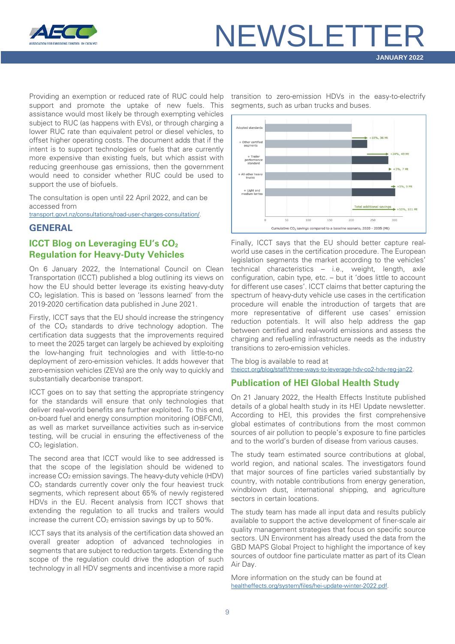

Providing an exemption or reduced rate of RUC could help support and promote the uptake of new fuels. This assistance would most likely be through exempting vehicles subject to RUC (as happens with EVs), or through charging a lower RUC rate than equivalent petrol or diesel vehicles, to offset higher operating costs. The document adds that if the intent is to support technologies or fuels that are currently more expensive than existing fuels, but which assist with reducing greenhouse gas emissions, then the government would need to consider whether RUC could be used to support the use of biofuels.

The consultation is open until 22 April 2022, and can be accessed from

[transport.govt.nz/consultations/road-user-charges-consultation/.](https://www.transport.govt.nz/consultations/road-user-charges-consultation/)

#### <span id="page-8-0"></span>**GENERAL**

## <span id="page-8-1"></span>**ICCT Blog on Leveraging EU's CO<sub>2</sub> Regulation for Heavy-Duty Vehicles**

On 6 January 2022, the International Council on Clean Transportation (ICCT) published a blog outlining its views on how the EU should better leverage its existing heavy-duty CO2 legislation. This is based on 'lessons learned' from the 2019-2020 certification data published in June 2021.

Firstly, ICCT says that the EU should increase the stringency of the  $CO<sub>2</sub>$  standards to drive technology adoption. The certification data suggests that the improvements required to meet the 2025 target can largely be achieved by exploiting the low-hanging fruit technologies and with little-to-no deployment of zero-emission vehicles. It adds however that zero-emission vehicles (ZEVs) are the only way to quickly and substantially decarbonise transport.

ICCT goes on to say that setting the appropriate stringency for the standards will ensure that only technologies that deliver real-world benefits are further exploited. To this end, on-board fuel and energy consumption monitoring (OBFCM), as well as market surveillance activities such as in-service testing, will be crucial in ensuring the effectiveness of the CO<sub>2</sub> legislation.

The second area that ICCT would like to see addressed is that the scope of the legislation should be widened to increase CO<sub>2</sub> emission savings. The heavy-duty vehicle (HDV) CO2 standards currently cover only the four heaviest truck segments, which represent about 65% of newly registered HDVs in the EU. Recent analysis from ICCT shows that extending the regulation to all trucks and trailers would increase the current  $CO<sub>2</sub>$  emission savings by up to  $50\%$ .

ICCT says that its analysis of the certification data showed an overall greater adoption of advanced technologies in segments that are subject to reduction targets. Extending the scope of the regulation could drive the adoption of such technology in all HDV segments and incentivise a more rapid

transition to zero-emission HDVs in the easy-to-electrify segments, such as urban trucks and buses.



Finally, ICCT says that the EU should better capture realworld use cases in the certification procedure. The European legislation segments the market according to the vehicles' technical characteristics – i.e., weight, length, axle configuration, cabin type, etc. – but it 'does little to account for different use cases'. ICCT claims that better capturing the spectrum of heavy-duty vehicle use cases in the certification procedure will enable the introduction of targets that are more representative of different use cases' emission reduction potentials. It will also help address the gap between certified and real-world emissions and assess the charging and refuelling infrastructure needs as the industry transitions to zero-emission vehicles.

The blog is available to read at [theicct.org/blog/staff/three-ways-to-leverage-hdv-co2-hdv-reg-jan22.](https://theicct.org/blog/staff/three-ways-to-leverage-hdv-co2-hdv-reg-jan22)

## <span id="page-8-2"></span>**Publication of HEI Global Health Study**

On 21 January 2022, the Health Effects Institute published details of a global health study in its HEI Update newsletter. According to HEI, this provides the first comprehensive global estimates of contributions from the most common sources of air pollution to people's exposure to fine particles and to the world's burden of disease from various causes.

The study team estimated source contributions at global, world region, and national scales. The investigators found that major sources of fine particles varied substantially by country, with notable contributions from energy generation, windblown dust, international shipping, and agriculture sectors in certain locations.

The study team has made all input data and results publicly available to support the active development of finer-scale air quality management strategies that focus on specific source sectors. UN Environment has already used the data from the GBD MAPS Global Project to highlight the importance of key sources of outdoor fine particulate matter as part of its Clean Air Day.

More information on the study can be found at [healtheffects.org/system/files/hei-update-winter-2022.pdf.](https://www.healtheffects.org/system/files/hei-update-winter-2022.pdf)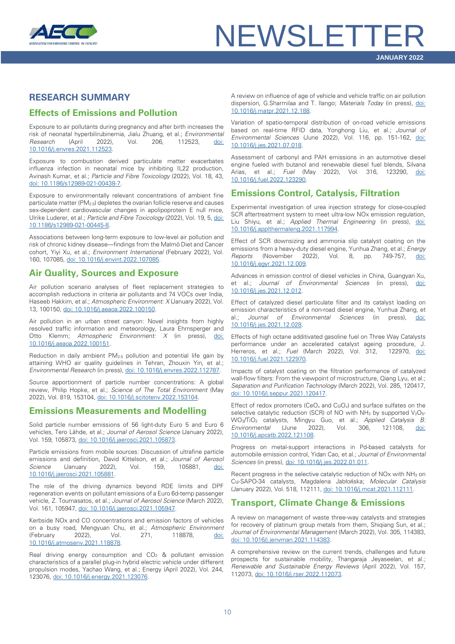

## <span id="page-9-0"></span>**RESEARCH SUMMARY**

## **Effects of Emissions and Pollution**

Exposure to air pollutants during pregnancy and after birth increases the risk of neonatal hyperbilirubinemia, Jialu Zhuang, et al.; *Environmental Research* (April 2022), Vol. 206, 112523, [doi:](https://doi.org/10.1016/j.envres.2021.112523)  [10.1016/j.envres.2021.112523.](https://doi.org/10.1016/j.envres.2021.112523)

Exposure to combustion derived particulate matter exacerbates influenza infection in neonatal mice by inhibiting IL22 production, Avinash Kumar, et al.; *Particle and Fibre Toxicology* (2022), Vol. 18, 43, [doi: 10.1186/s12989-021-00438-7.](https://doi.org/10.1186/s12989-021-00438-7)

Exposure to environmentally relevant concentrations of ambient fine particulate matter ( $PM<sub>2.5</sub>$ ) depletes the ovarian follicle reserve and causes sex-dependent cardiovascular changes in apolipoprotein E null mice, Ulrike Luderer, et al.; *Particle and Fibre Toxicology* (2022), Vol. 19, 5, [doi:](https://doi.org/10.1186/s12989-021-00445-8)  [10.1186/s12989-021-00445-8.](https://doi.org/10.1186/s12989-021-00445-8)

Associations between long-term exposure to low-level air pollution and risk of chronic kidney disease—findings from the Malmö Diet and Cancer cohort, Yiyi Xu, et al.; *Environment International* (February 2022), Vol. 160, 107085[, doi: 10.1016/j.envint.2022.107085.](https://doi.org/10.1016/j.envint.2022.107085)

### **Air Quality, Sources and Exposure**

Air pollution scenario analyses of fleet replacement strategies to accomplish reductions in criteria air pollutants and 74 VOCs over India, Haseeb Hakkim, et al.; *Atmospheric Environment: X* (January 2022), Vol. 13, 100150[, doi: 10.1016/j.aeaoa.2022.100150.](https://doi.org/10.1016/j.aeaoa.2022.100150)

Air pollution in an urban street canyon: Novel insights from highly resolved traffic information and meteorology, Laura Ehrnsperger and Otto Klemm; *Atmospheric Environment: X* (in press), [doi:](https://doi.org/10.1016/j.aeaoa.2022.100151)  [10.1016/j.aeaoa.2022.100151.](https://doi.org/10.1016/j.aeaoa.2022.100151)

Reduction in daily ambient PM2.5 pollution and potential life gain by attaining WHO air quality guidelines in Tehran, Zhouxin Yin, et al.; *Environmental Research* (in press), [doi: 10.1016/j.envres.2022.112787.](https://doi.org/10.1016/j.envres.2022.112787)

Source apportionment of particle number concentrations: A global review, Philip Hopke, et al.; *Science of The Total Environment* (May 2022), Vol. 819, 153104[, doi: 10.1016/j.scitotenv.2022.153104.](https://doi.org/10.1016/j.scitotenv.2022.153104)

### **Emissions Measurements and Modelling**

Solid particle number emissions of 56 light-duty Euro 5 and Euro 6 vehicles, Tero Lähde, et al.; *Journal of Aerosol Science* (January 2022), Vol. 159, 105873[, doi: 10.1016/j.jaerosci.2021.105873.](https://doi.org/10.1016/j.jaerosci.2021.105873)

Particle emissions from mobile sources: Discussion of ultrafine particle emissions and definition, David Kittelson, et al.; *Journal of Aerosol Science* (January 2022), Vol. 159, 105881, [doi:](https://doi.org/10.1016/j.jaerosci.2021.105881)  [10.1016/j.jaerosci.2021.105881.](https://doi.org/10.1016/j.jaerosci.2021.105881)

The role of the driving dynamics beyond RDE limits and DPF regeneration events on pollutant emissions of a Euro 6d-temp passenger vehicle, Z. Toumasatos, et al.; *Journal of Aerosol Science* (March 2022), Vol. 161, 105947[, doi: 10.1016/j.jaerosci.2021.105947.](https://doi.org/10.1016/j.jaerosci.2021.105947)

Kerbside NOx and CO concentrations and emission factors of vehicles on a busy road, Mengyuan Chu, et al.; *Atmospheric Environment* (February 2022), Vol. 271, 118878, doi: [10.1016/j.atmosenv.2021.118878.](https://doi.org/10.1016/j.atmosenv.2021.118878)

Real driving energy consumption and CO<sub>2</sub> & pollutant emission characteristics of a parallel plug-in hybrid electric vehicle under different propulsion modes, Yachao Wang, et al.; Energy (April 2022), Vol. 244, 123076[, doi: 10.1016/j.energy.2021.123076.](https://doi.org/10.1016/j.energy.2021.123076)

A review on influence of age of vehicle and vehicle traffic on air pollution dispersion, G.Sharmilaa and T. Ilango; *Materials Today* (in press), [doi:](https://doi.org/10.1016/j.matpr.2021.12.188)  [10.1016/j.matpr.2021.12.188.](https://doi.org/10.1016/j.matpr.2021.12.188)

Variation of spatio-temporal distribution of on-road vehicle emissions based on real-time RFID data, Yonghong Liu, et al.; *Journal of Environmental Sciences* (June 2022), Vol. 116, pp. 151-162, [doi:](https://doi.org/10.1016/j.jes.2021.07.018)  [10.1016/j.jes.2021.07.018.](https://doi.org/10.1016/j.jes.2021.07.018)

Assessment of carbonyl and PAH emissions in an automotive diesel engine fueled with butanol and renewable diesel fuel blends, Silvana Arias, et al.; *Fuel* (May 2022), Vol. 316, 123290, [doi:](https://doi.org/10.1016/j.fuel.2022.123290)  [10.1016/j.fuel.2022.123290.](https://doi.org/10.1016/j.fuel.2022.123290)

## **Emissions Control, Catalysis, Filtration**

Experimental investigation of urea injection strategy for close-coupled SCR aftertreatment system to meet ultra-low NOx emission regulation, Liu Shiyu, et al.; *Applied Thermal Engineering* (in press), [doi:](https://doi.org/10.1016/j.applthermaleng.2021.117994)  [10.1016/j.applthermaleng.2021.117994.](https://doi.org/10.1016/j.applthermaleng.2021.117994)

Effect of SCR downsizing and ammonia slip catalyst coating on the emissions from a heavy-duty diesel engine, Yunhua Zhang, et al.; *Energy Reports* (November 2022), Vol. 8, pp. 749-757, [doi:](https://doi.org/10.1016/j.egyr.2021.12.009)  [10.1016/j.egyr.2021.12.009.](https://doi.org/10.1016/j.egyr.2021.12.009)

Advances in emission control of diesel vehicles in China, Guangyan Xu, et al.; *Journal of Environmental Sciences* (in press), [doi:](https://doi.org/10.1016/j.jes.2021.12.012)  [10.1016/j.jes.2021.12.012.](https://doi.org/10.1016/j.jes.2021.12.012)

Effect of catalyzed diesel particulate filter and its catalyst loading on emission characteristics of a non-road diesel engine, Yunhua Zhang, et al.; *Journal of Environmental Sciences* (in press), [10.1016/j.jes.2021.12.028.](https://doi.org/10.1016/j.jes.2021.12.028)

Effects of high octane additivated gasoline fuel on Three Way Catalysts performance under an accelerated catalyst ageing procedure, J. Herreros, et al.; *Fuel* (March 2022), Vol. 312, 122970, [doi:](https://doi.org/10.1016/j.fuel.2021.122970)  [10.1016/j.fuel.2021.122970.](https://doi.org/10.1016/j.fuel.2021.122970)

Impacts of catalyst coating on the filtration performance of catalyzed wall-flow filters: From the viewpoint of microstructure, Qiang Lyu, et al.; *Separation and Purification Technology* (March 2022), Vol. 285, 120417, [doi: 10.1016/j.seppur.2021.120417.](https://doi.org/10.1016/j.seppur.2021.120417)

Effect of redox promoters (CeO<sub>x</sub> and CuO<sub>x</sub>) and surface sulfates on the selective catalytic reduction (SCR) of NO with  $NH<sub>3</sub>$  by supported  $V<sub>2</sub>O<sub>5</sub>$ WO3/TiO2 catalysts, Mingyu Guo, et al.; *Applied Catalysis B: Environmental* (June 2022), Vol. 306, 121108, [doi:](https://doi.org/10.1016/j.apcatb.2022.121108)  [10.1016/j.apcatb.2022.121108.](https://doi.org/10.1016/j.apcatb.2022.121108)

Progress on metal-support interactions in Pd-based catalysts for automobile emission control, Yidan Cao, et al.; *Journal of Environmental Sciences* (in press)[, doi: 10.1016/j.jes.2022.01.011.](https://doi.org/10.1016/j.jes.2022.01.011)

Recent progress in the selective catalytic reduction of NO<sub>x</sub> with NH<sub>3</sub> on Cu-SAPO-34 catalysts, Magdalena Jabłońska; *Molecular Catalysis* (January 2022), Vol. 518, 112111[, doi: 10.1016/j.mcat.2021.112111.](https://doi.org/10.1016/j.mcat.2021.112111)

### **Transport, Climate Change & Emissions**

A review on management of waste three-way catalysts and strategies for recovery of platinum group metals from them, Shigiang Sun, et al.; *Journal of Environmental Management* (March 2022), Vol. 305, 114383, [doi: 10.1016/j.jenvman.2021.114383.](https://doi.org/10.1016/j.jenvman.2021.114383)

A comprehensive review on the current trends, challenges and future prospects for sustainable mobility, Thangaraja Jeyaseelan, et al.; *Renewable and Sustainable Energy Reviews* (April 2022), Vol. 157, 112073[, doi: 10.1016/j.rser.2022.112073.](https://doi.org/10.1016/j.rser.2022.112073)